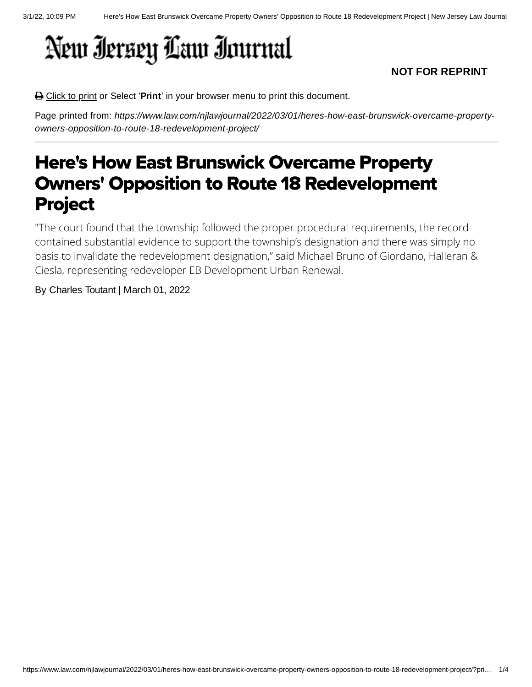## New Iersey Law Inurnal

## **NOT FOR REPRINT**

**△** Click to print or Select 'Print' in your browser menu to print this document.

Page printed from: *https://www.law.com/njlawjournal/2022/03/01/heres-how-east-brunswick-overcame-propertyowners-opposition-to-route-18-redevelopment-project/*

## Here's How East Brunswick Overcame Property Owners' Opposition to Route 18 Redevelopment Project

"The court found that the township followed the proper procedural requirements, the record contained substantial evidence to support the township's designation and there was simply no basis to invalidate the redevelopment designation," said Michael Bruno of Giordano, Halleran & Ciesla, representing redeveloper EB Development Urban Renewal.

## By Charles Toutant | March 01, 2022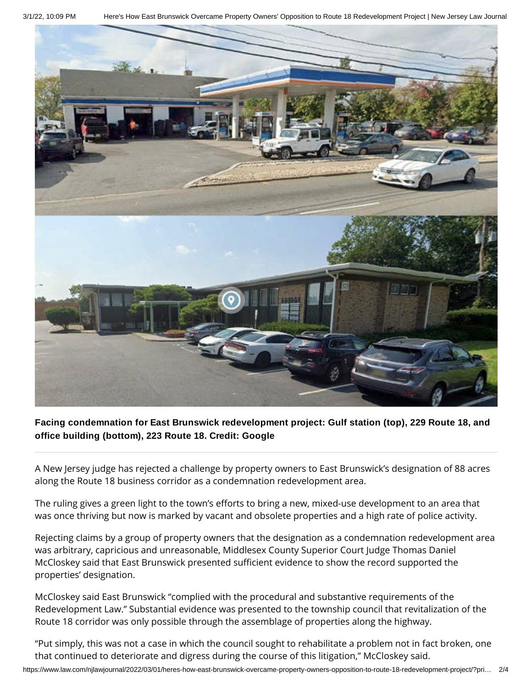3/1/22, 10:09 PM Here's How East Brunswick Overcame Property Owners' Opposition to Route 18 Redevelopment Project | New Jersey Law Journal



**Facing condemnation for East Brunswick redevelopment project: Gulf station (top), 229 Route 18, and office building (bottom), 223 Route 18. Credit: Google**

A New Jersey judge has rejected a challenge by property owners to East Brunswick's designation of 88 acres along the Route 18 business corridor as a condemnation redevelopment area.

The ruling gives a green light to the town's efforts to bring a new, mixed-use development to an area that was once thriving but now is marked by vacant and obsolete properties and a high rate of police activity.

Rejecting claims by a group of property owners that the designation as a condemnation redevelopment area was arbitrary, capricious and unreasonable, Middlesex County Superior Court Judge Thomas Daniel McCloskey said that East Brunswick presented sufficient evidence to show the record supported the properties' designation.

McCloskey said East Brunswick "complied with the procedural and substantive requirements of the Redevelopment Law." Substantial evidence was presented to the township council that revitalization of the Route 18 corridor was only possible through the assemblage of properties along the highway.

"Put simply, this was not a case in which the council sought to rehabilitate a problem not in fact broken, one that continued to deteriorate and digress during the course of this litigation," McCloskey said.

https://www.law.com/njlawjournal/2022/03/01/heres-how-east-brunswick-overcame-property-owners-opposition-to-route-18-redevelopment-project/?pri… 2/4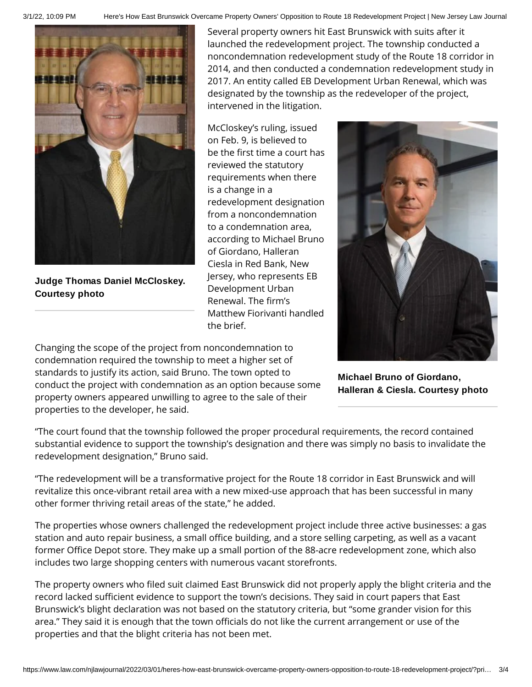



**Judge Thomas Daniel McCloskey. Courtesy photo**

Several property owners hit East Brunswick with suits after it launched the redevelopment project. The township conducted a noncondemnation redevelopment study of the Route 18 corridor in 2014, and then conducted a condemnation redevelopment study in 2017. An entity called EB Development Urban Renewal, which was designated by the township as the redeveloper of the project, intervened in the litigation.

McCloskey's ruling, issued on Feb. 9, is believed to be the first time a court has reviewed the statutory requirements when there is a change in a redevelopment designation from a noncondemnation to a condemnation area, according to Michael Bruno of Giordano, Halleran Ciesla in Red Bank, New Jersey, who represents EB Development Urban Renewal. The firm's Matthew Fiorivanti handled the brief.



Changing the scope of the project from noncondemnation to condemnation required the township to meet a higher set of standards to justify its action, said Bruno. The town opted to conduct the project with condemnation as an option because some property owners appeared unwilling to agree to the sale of their properties to the developer, he said.

**Michael Bruno of Giordano, Halleran & Ciesla. Courtesy photo**

"The court found that the township followed the proper procedural requirements, the record contained substantial evidence to support the township's designation and there was simply no basis to invalidate the redevelopment designation," Bruno said.

"The redevelopment will be a transformative project for the Route 18 corridor in East Brunswick and will revitalize this once-vibrant retail area with a new mixed-use approach that has been successful in many other former thriving retail areas of the state," he added.

The properties whose owners challenged the redevelopment project include three active businesses: a gas station and auto repair business, a small office building, and a store selling carpeting, as well as a vacant former Office Depot store. They make up a small portion of the 88-acre redevelopment zone, which also includes two large shopping centers with numerous vacant storefronts.

The property owners who filed suit claimed East Brunswick did not properly apply the blight criteria and the record lacked sufficient evidence to support the town's decisions. They said in court papers that East Brunswick's blight declaration was not based on the statutory criteria, but "some grander vision for this area." They said it is enough that the town officials do not like the current arrangement or use of the properties and that the blight criteria has not been met.